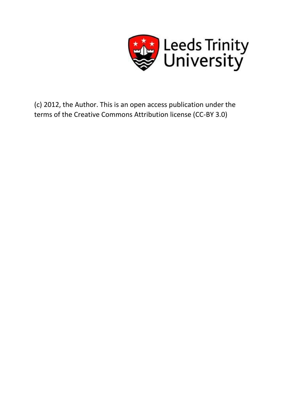

(c) 2012, the Author. This is an open access publication under the terms of the Creative Commons Attribution license (CC-BY 3.0)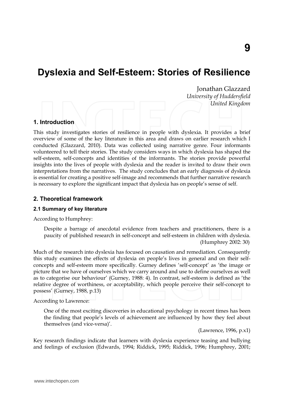# **Dyslexia and Self-Esteem: Stories of Resilience**

Jonathan Glazzard *University of Huddersfield United Kingdom* 

# **1. Introduction**

This study investigates stories of resilience in people with dyslexia. It provides a brief overview of some of the key literature in this area and draws on earlier research which I conducted (Glazzard, 2010). Data was collected using narrative genre. Four informants volunteered to tell their stories. The study considers ways in which dyslexia has shaped the self-esteem, self-concepts and identities of the informants. The stories provide powerful insights into the lives of people with dyslexia and the reader is invited to draw their own interpretations from the narratives. The study concludes that an early diagnosis of dyslexia is essential for creating a positive self-image and recommends that further narrative research is necessary to explore the significant impact that dyslexia has on people's sense of self.

# **2. Theoretical framework**

### **2.1 Summary of key literature**

According to Humphrey:

Despite a barrage of anecdotal evidence from teachers and practitioners, there is a paucity of published research in self-concept and self-esteem in children with dyslexia. (Humphrey 2002: 30)

Much of the research into dyslexia has focused on causation and remediation. Consequently this study examines the effects of dyslexia on people's lives in general and on their selfconcepts and self-esteem more specifically. Gurney defines 'self-concept' as 'the image or picture that we have of ourselves which we carry around and use to define ourselves as well as to categorise our behaviour' (Gurney, 1988: 4). In contrast, self-esteem is defined as 'the relative degree of worthiness, or acceptability, which people perceive their self-concept to possess' (Gurney, 1988, p.13)

According to Lawrence:

One of the most exciting discoveries in educational psychology in recent times has been the finding that people's levels of achievement are influenced by how they feel about themselves (and vice-versa)'.

(Lawrence, 1996, p.x1)

Key research findings indicate that learners with dyslexia experience teasing and bullying and feelings of exclusion (Edwards, 1994; Riddick, 1995; Riddick, 1996; Humphrey, 2001;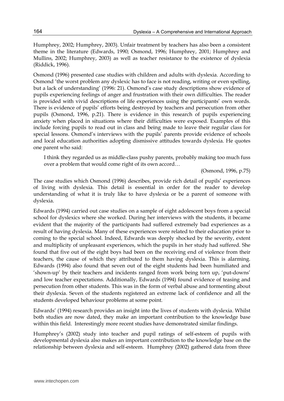Humphrey, 2002; Humphrey, 2003). Unfair treatment by teachers has also been a consistent theme in the literature (Edwards, 1990; Osmond, 1996; Humphrey, 2001; Humphrey and Mullins, 2002; Humphrey, 2003) as well as teacher resistance to the existence of dyslexia (Riddick, 1996).

Osmond (1996) presented case studies with children and adults with dyslexia. According to Osmond 'the worst problem any dyslexic has to face is not reading, writing or even spelling, but a lack of understanding' (1996: 21). Osmond's case study descriptions show evidence of pupils experiencing feelings of anger and frustration with their own difficulties. The reader is provided with vivid descriptions of life experiences using the participants' own words. There is evidence of pupils' efforts being destroyed by teachers and persecution from other pupils (Osmond, 1996, p.21). There is evidence in this research of pupils experiencing anxiety when placed in situations where their difficulties were exposed. Examples of this include forcing pupils to read out in class and being made to leave their regular class for special lessons. Osmond's interviews with the pupils' parents provide evidence of schools and local education authorities adopting dismissive attitudes towards dyslexia. He quotes one parent who said:

I think they regarded us as middle-class pushy parents, probably making too much fuss over a problem that would come right of its own accord…

(Osmond, 1996, p.75)

The case studies which Osmond (1996) describes, provide rich detail of pupils' experiences of living with dyslexia. This detail is essential in order for the reader to develop understanding of what it is truly like to have dyslexia or be a parent of someone with dyslexia.

Edwards (1994) carried out case studies on a sample of eight adolescent boys from a special school for dyslexics where she worked. During her interviews with the students, it became evident that the majority of the participants had suffered extremely bad experiences as a result of having dyslexia. Many of these experiences were related to their education prior to coming to the special school. Indeed, Edwards was deeply shocked by the severity, extent and multiplicity of unpleasant experiences, which the pupils in her study had suffered. She found that five out of the eight boys had been on the receiving end of violence from their teachers, the cause of which they attributed to them having dyslexia. This is alarming. Edwards (1994) also found that seven out of the eight students had been humiliated and 'shown-up' by their teachers and incidents ranged from work being torn up, 'put-downs' and low teacher expectations. Additionally, Edwards (1994) found evidence of teasing and persecution from other students. This was in the form of verbal abuse and tormenting about their dyslexia. Seven of the students registered an extreme lack of confidence and all the students developed behaviour problems at some point.

Edwards' (1994) research provides an insight into the lives of students with dyslexia. Whilst both studies are now dated, they make an important contribution to the knowledge base within this field. Interestingly more recent studies have demonstrated similar findings.

Humphrey's (2002) study into teacher and pupil ratings of self-esteem of pupils with developmental dyslexia also makes an important contribution to the knowledge base on the relationship between dyslexia and self-esteem. Humphrey (2002) gathered data from three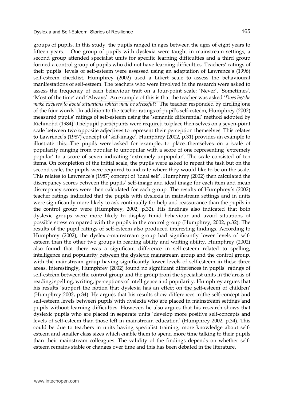groups of pupils. In this study, the pupils ranged in ages between the ages of eight years to fifteen years. One group of pupils with dyslexia were taught in mainstream settings, a second group attended specialist units for specific learning difficulties and a third group formed a control group of pupils who did not have learning difficulties. Teachers' ratings of their pupils' levels of self-esteem were assessed using an adaptation of Lawrence's (1996) self-esteem checklist. Humphrey (2002) used a Likert scale to assess the behavioural manifestations of self-esteem. The teachers who were involved in the research were asked to assess the frequency of each behaviour trait on a four-point scale: 'Never', 'Sometimes', 'Most of the time' and 'Always'. An example of this is that the teacher was asked '*Does he/she make excuses to avoid situations which may be stressful*?' The teacher responded by circling one of the four words. In addition to the teacher ratings of pupil's self-esteem, Humphrey (2002) measured pupils' ratings of self-esteem using the 'semantic differential' method adopted by Richmond (1984). The pupil participants were required to place themselves on a seven-point scale between two opposite adjectives to represent their perception themselves. This relates to Lawrence's (1987) concept of 'self-image'. Humphrey (2002, p.31) provides an example to illustrate this: The pupils were asked for example, to place themselves on a scale of popularity ranging from popular to unpopular with a score of one representing 'extremely popular' to a score of seven indicating 'extremely unpopular'. The scale consisted of ten items. On completion of the initial scale, the pupils were asked to repeat the task but on the second scale, the pupils were required to indicate where they would like to be on the scale. This relates to Lawrence's (1987) concept of 'ideal self'. Humphrey (2002) then calculated the discrepancy scores between the pupils' self-image and ideal image for each item and mean discrepancy scores were then calculated for each group. The results of Humphrey's (2002) teacher ratings indicated that the pupils with dyslexia in mainstream settings and in units were significantly more likely to ask continually for help and reassurance than the pupils in the control group were (Humphrey, 2002, p.32). His findings also indicated that both dyslexic groups were more likely to display timid behaviour and avoid situations of possible stress compared with the pupils in the control group (Humphrey, 2002, p.32). The results of the pupil ratings of self-esteem also produced interesting findings. According to Humphrey (2002), the dyslexic-mainstream group had significantly lower levels of selfesteem than the other two groups in reading ability and writing ability. Humphrey (2002) also found that there was a significant difference in self-esteem related to spelling, intelligence and popularity between the dyslexic mainstream group and the control group, with the mainstream group having significantly lower levels of self-esteem in these three areas. Interestingly, Humphrey (2002) found no significant differences in pupils' ratings of self-esteem between the control group and the group from the specialist units in the areas of reading, spelling, writing, perceptions of intelligence and popularity. Humphrey argues that his results 'support the notion that dyslexia has an effect on the self-esteem of children' (Humphrey 2002, p.34). He argues that his results show differences in the self-concept and self-esteem levels between pupils with dyslexia who are placed in mainstream settings and pupils without learning difficulties. However, he also argues that his research shows that dyslexic pupils who are placed in separate units 'develop more positive self-concepts and levels of self-esteem than those left in mainstream education' (Humphrey 2002, p.34). This could be due to teachers in units having specialist training, more knowledge about selfesteem and smaller class sizes which enable them to spend more time talking to their pupils than their mainstream colleagues. The validity of the findings depends on whether selfesteem remains stable or changes over time and this has been debated in the literature.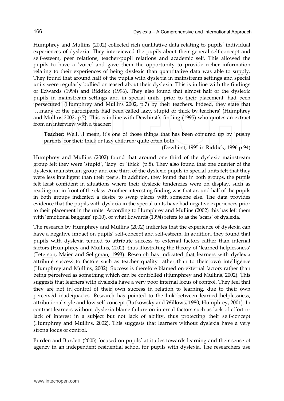Humphrey and Mullins (2002) collected rich qualitative data relating to pupils' individual experiences of dyslexia. They interviewed the pupils about their general self-concept and self-esteem, peer relations, teacher-pupil relations and academic self. This allowed the pupils to have a 'voice' and gave them the opportunity to provide richer information relating to their experiences of being dyslexic than quantitative data was able to supply. They found that around half of the pupils with dyslexia in mainstream settings and special units were regularly bullied or teased about their dyslexia. This is in line with the findings of Edwards (1994) and Riddick (1996). They also found that almost half of the dyslexic pupils in mainstream settings and in special units, prior to their placement, had been 'persecuted' (Humphrey and Mullins 2002, p.7) by their teachers. Indeed, they state that '…many of the participants had been called lazy, stupid or thick by teachers' (Humphrey and Mullins 2002, p.7). This is in line with Dewhirst's finding (1995) who quotes an extract from an interview with a teacher:

**Teacher:** Well…I mean, it's one of those things that has been conjured up by 'pushy parents' for their thick or lazy children; quite often both.

(Dewhirst, 1995 in Riddick, 1996 p.94)

Humphrey and Mullins (2002) found that around one third of the dyslexic mainstream group felt they were 'stupid', 'lazy' or 'thick' (p.8). They also found that one quarter of the dyslexic mainstream group and one third of the dyslexic pupils in special units felt that they were less intelligent than their peers. In addition, they found that in both groups, the pupils felt least confident in situations where their dyslexic tendencies were on display, such as reading out in front of the class. Another interesting finding was that around half of the pupils in both groups indicated a desire to swap places with someone else. The data provides evidence that the pupils with dyslexia in the special units have had negative experiences prior to their placement in the units. According to Humphrey and Mullins (2002) this has left them with 'emotional baggage' (p.10), or what Edwards (1994) refers to as the 'scars' of dyslexia.

The research by Humphrey and Mullins (2002) indicates that the experience of dyslexia can have a negative impact on pupils' self-concept and self-esteem. In addition, they found that pupils with dyslexia tended to attribute success to external factors rather than internal factors (Humphrey and Mullins, 2002), thus illustrating the theory of 'learned helplessness' (Peterson, Maier and Seligman, 1993). Research has indicated that learners with dyslexia attribute success to factors such as teacher quality rather than to their own intelligence (Humphrey and Mullins, 2002). Success is therefore blamed on external factors rather than being perceived as something which can be controlled (Humphrey and Mullins, 2002). This suggests that learners with dyslexia have a very poor internal locus of control. They feel that they are not in control of their own success in relation to learning, due to their own perceived inadequacies. Research has pointed to the link between learned helplessness, attributional style and low self-concept (Butkowsky and Willows, 1980; Humphrey, 2001). In contrast learners without dyslexia blame failure on internal factors such as lack of effort or lack of interest in a subject but not lack of ability, thus protecting their self-concept (Humphrey and Mullins, 2002). This suggests that learners without dyslexia have a very strong locus of control.

Burden and Burdett (2005) focused on pupils' attitudes towards learning and their sense of agency in an independent residential school for pupils with dyslexia. The researchers use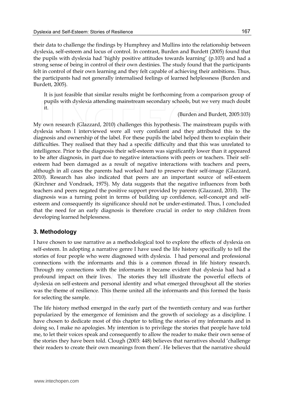their data to challenge the findings by Humphrey and Mullins into the relationship between dyslexia, self-esteem and locus of control. In contrast, Burden and Burdett (2005) found that the pupils with dyslexia had 'highly positive attitudes towards learning' (p.103) and had a strong sense of being in control of their own destinies. The study found that the participants felt in control of their own learning and they felt capable of achieving their ambitions. Thus, the participants had not generally internalised feelings of learned helplessness (Burden and Burdett, 2005).

It is just feasible that similar results might be forthcoming from a comparison group of pupils with dyslexia attending mainstream secondary schools, but we very much doubt it.

(Burden and Burdett, 2005:103)

My own research (Glazzard, 2010) challenges this hypothesis. The mainstream pupils with dyslexia whom I interviewed were all very confident and they attributed this to the diagnosis and ownership of the label. For these pupils the label helped them to explain their difficulties. They realised that they had a specific difficulty and that this was unrelated to intelligence. Prior to the diagnosis their self-esteem was significantly lower than it appeared to be after diagnosis, in part due to negative interactions with peers or teachers. Their selfesteem had been damaged as a result of negative interactions with teachers and peers, although in all cases the parents had worked hard to preserve their self-image (Glazzard, 2010). Research has also indicated that peers are an important source of self-esteem (Kirchner and Vondraek, 1975). My data suggests that the negative influences from both teachers and peers negated the positive support provided by parents (Glazzard, 2010). The diagnosis was a turning point in terms of building up confidence, self-concept and selfesteem and consequently its significance should not be under-estimated. Thus, I concluded that the need for an early diagnosis is therefore crucial in order to stop children from developing learned helplessness.

# **3. Methodology**

I have chosen to use narrative as a methodological tool to explore the effects of dyslexia on self-esteem. In adopting a narrative genre I have used the life history specifically to tell the stories of four people who were diagnosed with dyslexia. I had personal and professional connections with the informants and this is a common thread in life history research. Through my connections with the informants it became evident that dyslexia had had a profound impact on their lives. The stories they tell illustrate the powerful effects of dyslexia on self-esteem and personal identity and what emerged throughout all the stories was the theme of resilience. This theme united all the informants and this formed the basis for selecting the sample.

The life history method emerged in the early part of the twentieth century and was further popularized by the emergence of feminism and the growth of sociology as a discipline. I have chosen to dedicate most of this chapter to telling the stories of my informants and in doing so, I make no apologies. My intention is to privilege the stories that people have told me, to let their voices speak and consequently to allow the reader to make their own sense of the stories they have been told. Clough (2003: 448) believes that narratives should 'challenge their readers to create their own meanings from them'. He believes that the narrative should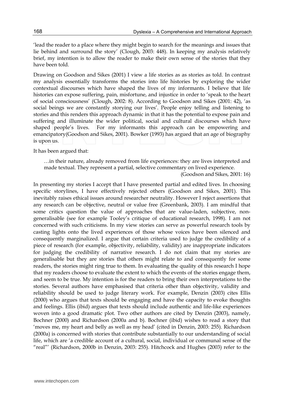'lead the reader to a place where they might begin to search for the meanings and issues that lie behind and surround the story' (Clough, 2003: 448). In keeping my analysis relatively brief, my intention is to allow the reader to make their own sense of the stories that they have been told.

Drawing on Goodson and Sikes (2001) I view a life stories as as stories as told. In contrast my analysis essentially transforms the stories into life histories by exploring the wider contextual discourses which have shaped the lives of my informants. I believe that life histories can expose suffering, pain, misfortune, and injustice in order to 'speak to the heart of social consciousness' (Clough, 2002: 8). According to Goodson and Sikes (2001: 42), 'as social beings we are constantly storying our lives'. People enjoy telling and listening to stories and this renders this approach dynamic in that it has the potential to expose pain and suffering and illuminate the wider political, social and cultural discourses which have shaped people's lives. For my informants this approach can be empowering and emancipatory(Goodson and Sikes, 2001). Bowker (1993) has argued that an age of biography is upon us.

It has been argued that:

…in their nature, already removed from life experiences: they are lives interpreted and made textual. They represent a partial, selective commentary on lived experience.

(Goodson and Sikes, 2001: 16)

In presenting my stories I accept that I have presented partial and edited lives. In choosing specific storylines, I have effectively rejected others (Goodson and Sikes, 2001). This inevitably raises ethical issues around researcher neutrality. However I reject assertions that any research can be objective, neutral or value free (Greenbank, 2003). I am mindful that some critics question the value of approaches that are value-laden, subjective, nongeneralisable (see for example Tooley's critique of educational research, 1998). I am not concerned with such criticisms. In my view stories can serve as powerful research tools by casting lights onto the lived experiences of those whose voices have been silenced and consequently marginalized. I argue that certain criteria used to judge the credibility of a piece of research (for example, objectivity, reliability, validity) are inappropriate indicators for judging the credibility of narrative research. I do not claim that my stories are generalisable but they are stories that others might relate to and consequently for some readers, the stories might ring true to them. In evaluating the quality of this research I hope that my readers choose to evaluate the extent to which the events of the stories engage them, and seem to be true. My intention is for the readers to bring their own interpretations to the stories. Several authors have emphasised that criteria other than objectivity, validity and reliability should be used to judge literary work. For example, Denzin (2003) cites Ellis (2000) who argues that texts should be engaging and have the capacity to evoke thoughts and feelings. Ellis (ibid) argues that texts should include authentic and life-like experiences woven into a good dramatic plot. Two other authors are cited by Denzin (2003), namely, Bochner (2000) and Richardson (2000a and b). Bochner (ibid) wishes to read a story that 'moves me, my heart and belly as well as my head' (cited in Denzin, 2003: 255). Richardson (2000a) is concerned with stories that contribute substantially to our understanding of social life, which are 'a credible account of a cultural, social, individual or communal sense of the "real"' (Richardson, 2000b in Denzin, 2003: 255). Hitchcock and Hughes (2003) refer to the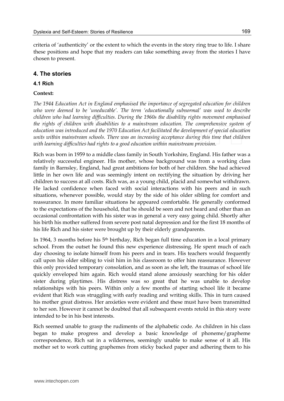criteria of 'authenticity' or the extent to which the events in the story ring true to life. I share these positions and hope that my readers can take something away from the stories I have chosen to present.

# **4. The stories**

# **4.1 Rich**

# **Context:**

*The 1944 Education Act in England emphasised the importance of segregated education for children*  who were deemed to be 'uneducable'. The term 'educationally subnormal' was used to describe *children who had learning difficulties. During the 1960s the disability rights movement emphasised the rights of children with disabilities to a mainstream education. The comprehensive system of education was introduced and the 1970 Education Act facilitated the development of special education units within mainstream schools. There was an increasing acceptance during this time that children with learning difficulties had rights to a good education within mainstream provision.* 

Rich was born in 1959 to a middle class family in South Yorkshire, England. His father was a relatively successful engineer. His mother, whose background was from a working class family in Barnsley, England, had great ambitions for both of her children. She had achieved little in her own life and was seemingly intent on rectifying the situation by driving her children to success at all costs. Rich was, as a young child, placid and somewhat withdrawn. He lacked confidence when faced with social interactions with his peers and in such situations, whenever possible, would stay by the side of his older sibling for comfort and reassurance. In more familiar situations he appeared comfortable. He generally conformed to the expectations of the household, that he should be seen and not heard and other than an occasional confrontation with his sister was in general a very easy going child. Shortly after his birth his mother suffered from severe post natal depression and for the first 18 months of his life Rich and his sister were brought up by their elderly grandparents.

In 1964, 3 months before his 5th birthday, Rich began full time education in a local primary school. From the outset he found this new experience distressing. He spent much of each day choosing to isolate himself from his peers and in tears. His teachers would frequently call upon his older sibling to visit him in his classroom to offer him reassurance. However this only provided temporary consolation, and as soon as she left, the traumas of school life quickly enveloped him again. Rich would stand alone anxiously searching for his older sister during playtimes. His distress was so great that he was unable to develop relationships with his peers. Within only a few months of starting school life it became evident that Rich was struggling with early reading and writing skills. This in turn caused his mother great distress. Her anxieties were evident and these must have been transmitted to her son. However it cannot be doubted that all subsequent events retold in this story were intended to be in his best interests.

Rich seemed unable to grasp the rudiments of the alphabetic code. As children in his class began to make progress and develop a basic knowledge of phoneme/grapheme correspondence, Rich sat in a wilderness, seemingly unable to make sense of it all. His mother set to work cutting graphemes from sticky backed paper and adhering them to his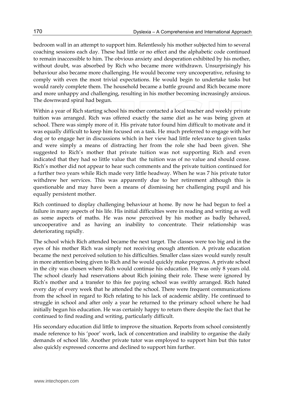bedroom wall in an attempt to support him. Relentlessly his mother subjected him to several coaching sessions each day. These had little or no effect and the alphabetic code continued to remain inaccessible to him. The obvious anxiety and desperation exhibited by his mother, without doubt, was absorbed by Rich who became more withdrawn. Unsurprisingly his behaviour also became more challenging. He would become very uncooperative, refusing to comply with even the most trivial expectations. He would begin to undertake tasks but would rarely complete them. The household became a battle ground and Rich became more and more unhappy and challenging, resulting in his mother becoming increasingly anxious. The downward spiral had begun.

Within a year of Rich starting school his mother contacted a local teacher and weekly private tuition was arranged. Rich was offered exactly the same diet as he was being given at school. There was simply more of it. His private tutor found him difficult to motivate and it was equally difficult to keep him focused on a task. He much preferred to engage with her dog or to engage her in discussions which in her view had little relevance to given tasks and were simply a means of distracting her from the role she had been given. She suggested to Rich's mother that private tuition was not supporting Rich and even indicated that they had so little value that the tuition was of no value and should cease. Rich's mother did not appear to hear such comments and the private tuition continued for a further two years while Rich made very little headway. When he was 7 his private tutor withdrew her services. This was apparently due to her retirement although this is questionable and may have been a means of dismissing her challenging pupil and his equally persistent mother.

Rich continued to display challenging behaviour at home. By now he had begun to feel a failure in many aspects of his life. His initial difficulties were in reading and writing as well as some aspects of maths. He was now perceived by his mother as badly behaved, uncooperative and as having an inability to concentrate. Their relationship was deteriorating rapidly.

The school which Rich attended became the next target. The classes were too big and in the eyes of his mother Rich was simply not receiving enough attention. A private education became the next perceived solution to his difficulties. Smaller class sizes would surely result in more attention being given to Rich and he would quickly make progress. A private school in the city was chosen where Rich would continue his education. He was only 8 years old. The school clearly had reservations about Rich joining their role. These were ignored by Rich's mother and a transfer to this fee paying school was swiftly arranged. Rich hated every day of every week that he attended the school. There were frequent communications from the school in regard to Rich relating to his lack of academic ability. He continued to struggle in school and after only a year he returned to the primary school where he had initially begun his education. He was certainly happy to return there despite the fact that he continued to find reading and writing, particularly difficult.

His secondary education did little to improve the situation. Reports from school consistently made reference to his 'poor' work, lack of concentration and inability to organise the daily demands of school life. Another private tutor was employed to support him but this tutor also quickly expressed concerns and declined to support him further.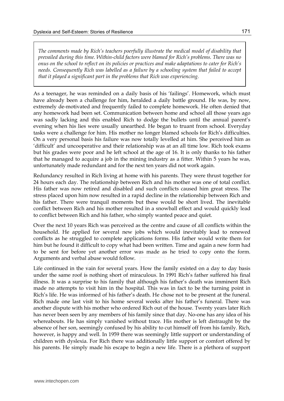*The comments made by Rich's teachers poerfully illustrate the medical model of disability that prevailed during this time. Within-child factors were blamed for Rich's problems. There was no onus on the school to reflect on its policies or practices and make adaptations to cater for Rich's needs. Consequently Rich was labelled as a failure by a schooling system that failed to accept that it played a significant part in the problems that Rich was experiencing.* 

As a teenager, he was reminded on a daily basis of his 'failings'. Homework, which must have already been a challenge for him, heralded a daily battle ground. He was, by now, extremely de-motivated and frequently failed to complete homework. He often denied that any homework had been set. Communication between home and school all those years ago was sadly lacking and this enabled Rich to dodge the bullets until the annual parent's evening when his lies were usually unearthed. He began to truant from school. Everyday tasks were a challenge for him. His mother no longer blamed schools for Rich's difficulties. On a very personal basis his failure was now totally levelled at him. She perceived him as 'difficult' and uncooperative and their relationship was at an all time low. Rich took exams but his grades were poor and he left school at the age of 16. It is only thanks to his father that he managed to acquire a job in the mining industry as a fitter. Within 5 years he was, unfortunately made redundant and for the next ten years did not work again.

Redundancy resulted in Rich living at home with his parents. They were thrust together for 24 hours each day. The relationship between Rich and his mother was one of total conflict. His father was now retired and disabled and such conflicts caused him great stress. The stress placed upon him now resulted in a rapid decline in the relationship between Rich and his father. There were tranquil moments but these would be short lived. The inevitable conflict between Rich and his mother resulted in a snowball effect and would quickly lead to conflict between Rich and his father, who simply wanted peace and quiet.

Over the next 10 years Rich was perceived as the centre and cause of all conflicts within the household. He applied for several new jobs which would inevitably lead to renewed conflicts as he struggled to complete applications forms. His father would write them for him but he found it difficult to copy what had been written. Time and again a new form had to be sent for before yet another error was made as he tried to copy onto the form. Arguments and verbal abuse would follow.

Life continued in the vain for several years. How the family existed on a day to day basis under the same roof is nothing short of miraculous. In 1991 Rich's father suffered his final illness. It was a surprise to his family that although his father's death was imminent Rich made no attempts to visit him in the hospital. This was in fact to be the turning point in Rich's life. He was informed of his father's death. He chose not to be present at the funeral. Rich made one last visit to his home several weeks after his father's funeral. There was another dispute with his mother who ordered Rich out of the house. Twenty years later Rich has never been seen by any members of his family since that day. No-one has any idea of his whereabouts. He has simply vanished without trace. His mother is left distraught by the absence of her son, seemingly confused by his ability to cut himself off from his family. Rich, however, is happy and well. In 1959 there was seemingly little support or understanding of children with dyslexia. For Rich there was additionally little support or comfort offered by his parents. He simply made his escape to begin a new life. There is a plethora of support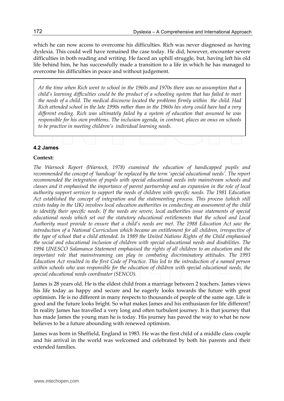which he can now access to overcome his difficulties. Rich was never diagnosed as having dyslexia. This could well have remained the case today. He did, however, encounter severe difficulties in both reading and writing. He faced an uphill struggle, but, having left his old life behind him, he has successfully made a transition to a life in which he has managed to overcome his difficulties in peace and without judgement.

*At the time when Rich went to school in the 1960s and 1970s there was no assumption that a child's learning difficulties could be the product of a schooling system that has failed to meet the needs of a child. The medical discourse located the problems firmly within the child. Had Rich attended school in the late 1990s rather than in the 1960s his story could have had a very different ending. Rich was ultimately failed by a system of education that assumed he was responsible for his own problems. The inclusion agenda, in contrast, places an onus on schools to be practive in meeting children's individual learning needs.* 

# **4.2 James**

#### **Context:**

*The Warnock Report (Warnock, 1978) examined the education of handicapped pupils and recommended the concept of 'handicap' be replaced by the term 'special educational needs'. The report recommended the integration of pupils with special educational needs into mainstream schools and classes and it emphasised the importance of parent partnership and an expansion in the role of local authority support services to support the needs of children with specific needs. The 1981 Education Act established the concept of integration and the statementing process. This process (which still exists today in the UK) involves local education authorities in conducting an assessment of the child to identify their specific needs. If the needs are severe, local authorities issue statements of special educational needs which set out the statutory educational entitlements that the school and Local Authority must provide to ensure that a child's needs are met. The 1988 Education Act saw the introduction of a National Curriculum which became an entitlement for all children, irrespective of the type of school that a child attended. In 1989 the United Nations Rights of the Child emphasised the social and educational inclusion of children with special educational needs and disabilities. The 1994 UNESCO Salamanca Statement emphasised the rights of all children to an education and the important role that mainstreaming can play in combating discriminatory attitudes. The 1993 Education Act resulted in the first Code of Practice. This led to the introduction of a named person within schools who was responsible for the education of children with special educational needs, the special educational needs coordinator (SENCO).* 

James is 28 years old. He is the eldest child from a marriage between 2 teachers. James views his life today as happy and secure and he eagerly looks towards the future with great optimism. He is no different in many respects to thousands of people of the same age. Life is good and the future looks bright. So what makes James and his enthusiasm for life different? In reality James has travelled a very long and often turbulent journey. It is that journey that has made James the young man he is today. His journey has paved the way to what he now believes to be a future abounding with renewed optimism.

James was born in Sheffield, England in 1983. He was the first child of a middle class couple and his arrival in the world was welcomed and celebrated by both his parents and their extended families.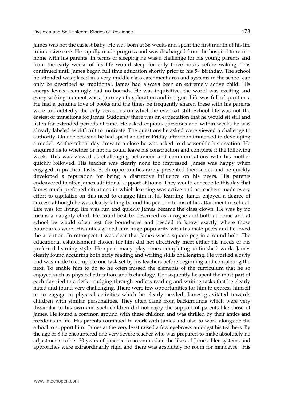James was not the easiest baby. He was born at 36 weeks and spent the first month of his life in intensive care. He rapidly made progress and was discharged from the hospital to return home with his parents. In terms of sleeping he was a challenge for his young parents and from the early weeks of his life would sleep for only three hours before waking. This continued until James began full time education shortly prior to his 5th birthday. The school he attended was placed in a very middle class catchment area and systems in the school can only be described as traditional. James had always been an extremely active child. His energy levels seemingly had no bounds. He was inquisitive, the world was exciting and every waking moment was a journey of exploration and intrigue. Life was full of questions. He had a genuine love of books and the times he frequently shared these with his parents were undoubtedly the only occasions on which he ever sat still. School life was not the easiest of transitions for James. Suddenly there was an expectation that he would sit still and listen for extended periods of time. He asked copious questions and within weeks he was already labeled as difficult to motivate. The questions he asked were viewed a challenge to authority. On one occasion he had spent an entire Friday afternoon immersed in developing a model. As the school day drew to a close he was asked to disassemble his creation. He enquired as to whether or not he could leave his construction and complete it the following week. This was viewed as challenging behaviour and communications with his mother quickly followed. His teacher was clearly none too impressed. James was happy when engaged in practical tasks. Such opportunities rarely presented themselves and he quickly developed a reputation for being a disruptive influence on his peers. His parents endeavored to offer James additional support at home. They would concede to this day that James much preferred situations in which learning was active and as teachers made every effort to capitalize on this need to engage him in his learning. James enjoyed a degree of success although he was clearly falling behind his peers in terms of his attainment in school. Life was for living, life was fun and quickly James became the class clown. He was by no means a naughty child. He could best be described as a rogue and both at home and at school he would often test the boundaries and needed to know exactly where those boundaries were. His antics gained him huge popularity with his male peers and he loved the attention. In retrospect it was clear that James was a square peg in a round hole. The educational establishment chosen for him did not effectively meet either his needs or his preferred learning style. He spent many play times completing unfinished work. James clearly found acquiring both early reading and writing skills challenging. He worked slowly and was made to complete one task set by his teachers before beginning and completing the next. To enable him to do so he often missed the elements of the curriculum that he so enjoyed such as physical education. and technology. Consequently he spent the most part of each day tied to a desk, trudging through endless reading and writing tasks that he clearly hated and found very challenging. There were few opportunities for him to express himself or to engage in physical activities which he clearly needed. James gravitated towards children with similar personalities. They often came from backgrounds which were very dissimilar to his own and such children did not enjoy the support of parents like those of James. He found a common ground with these children and was thrilled by their antics and freedoms in life. His parents continued to work with James and also to work alongside the school to support him. James at the very least raised a few eyebrows amongst his teachers. By the age of 8 he encountered one very severe teacher who was prepared to make absolutely no adjustments to her 30 years of practice to accommodate the likes of James. Her systems and approaches were extraordinarily rigid and there was absolutely no room for manoevre. His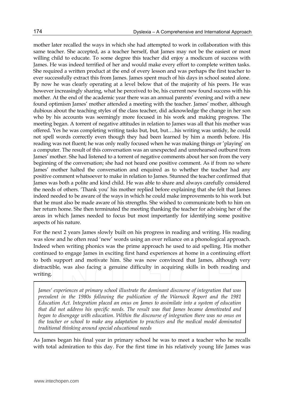mother later recalled the ways in which she had attempted to work in collaboration with this same teacher. She accepted, as a teacher herself, that James may not be the easiest or most willing child to educate. To some degree this teacher did enjoy a modicum of success with James. He was indeed terrified of her and would make every effort to complete written tasks. She required a written product at the end of every lesson and was perhaps the first teacher to ever successfully extract this from James. James spent much of his days in school seated alone. By now he was clearly operating at a level below that of the majority of his peers. He was however increasingly sharing, what he perceived to be, his current new found success with his mother. At the end of the academic year there was an annual parents' evening and with a new found optimism James' mother attended a meeting with the teacher. James' mother, although dubious about the teaching styles of the class teacher, did acknowledge the change in her son who by his accounts was seemingly more focused in his work and making progress. The meeting began. A torrent of negative attitudes in relation to James was all that his mother was offered. Yes he was completing writing tasks but, but, but….his writing was untidy, he could not spell words correctly even though they had been learned by him a month before. His reading was not fluent; he was only really focused when he was making things or 'playing' on a computer. The result of this conversation was an unexpected and unrehearsed outburst from James' mother. She had listened to a torrent of negative comments about her son from the very beginning of the conversation; she had not heard one positive comment. As if from no where James' mother halted the conversation and enquired as to whether the teacher had any positive comment whatsoever to make in relation to James. Stunned the teacher confirmed that James was both a polite and kind child. He was able to share and always carefully considered the needs of others. 'Thank you' his mother replied before explaining that she felt that James indeed needed to be aware of the ways in which he could make improvements to his work but that he must also be made aware of his strengths. She wished to communicate both to him on her return home. She then terminated the meeting thanking the teacher for advising her of the areas in which James needed to focus but most importantly for identifying some positive aspects of his nature.

For the next 2 years James slowly built on his progress in reading and writing. His reading was slow and he often read 'new' words using an over reliance on a phonological approach. Indeed when writing phonics was the prime approach he used to aid spelling. His mother continued to engage James in exciting first hand experiences at home in a continuing effort to both support and motivate him. She was now convinced that James, although very distractible, was also facing a genuine difficulty in acquiring skills in both reading and writing.

*James' experiences at primary school illustrate the dominant discourse of integration that was prevalent in the 1980s following the publication of the Warnock Report and the 1981 Education Act. Integration placed an onus on James to assimilate into a system of education that did not address his specific needs. The result was that James became demotivated and began to disengage with education. Within the discourse of integration there was no onus on the teacher or school to make any adaptation to practices and the medical model dominated traditional thinking around special educational needs*

As James began his final year in primary school he was to meet a teacher who he recalls with total admiration to this day. For the first time in his relatively young life James was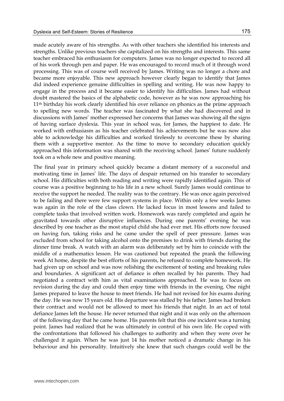made acutely aware of his strengths. As with other teachers she identified his interests and strengths. Unlike previous teachers she capitalized on his strengths and interests. This same teacher embraced his enthusiasm for computers. James was no longer expected to record all of his work through pen and paper. He was encouraged to record much of it through word processing. This was of course well received by James. Writing was no longer a chore and became more enjoyable. This new approach however clearly began to identify that James did indeed experience genuine difficulties in spelling and writing. He was now happy to engage in the process and it became easier to identify his difficulties. James had without doubt mastered the basics of the alphabetic code, however as he was now approaching his 11th birthday his work clearly identified his over reliance on phonics as the prime approach to spelling new words. The teacher was fascinated by what she had discovered and in discussions with James' mother expressed her concerns that James was showing all the signs of having surface dyslexia. This year in school was, for James, the happiest to date. He worked with enthusiasm as his teacher celebrated his achievements but he was now also able to acknowledge his difficulties and worked tirelessly to overcome these by sharing them with a supportive mentor. As the time to move to secondary education quickly approached this information was shared with the receiving school. James' future suddenly took on a whole new and positive meaning.

The final year in primary school quickly became a distant memory of a successful and motivating time in James' life. The days of despair returned on his transfer to secondary school. His difficulties with both reading and writing were rapidly identified again. This of course was a positive beginning to his life in a new school. Surely James would continue to receive the support he needed. The reality was to the contrary. He was once again perceived to be failing and there were few support systems in place. Within only a few weeks James was again in the role of the class clown. He lacked focus in most lessons and failed to complete tasks that involved written work. Homework was rarely completed and again he gravitated towards other disruptive influences. During one parents' evening he was described by one teacher as the most stupid child she had ever met. His efforts now focused on having fun, taking risks and he came under the spell of peer pressure. James was excluded from school for taking alcohol onto the premises to drink with friends during the dinner time break. A watch with an alarm was deliberately set by him to coincide with the middle of a mathematics lesson. He was cautioned but repeated the prank the following week At home, despite the best efforts of his parents, he refused to complete homework. He had given up on school and was now relishing the excitement of testing and breaking rules and boundaries. A significant act of defiance is often recalled by his parents. They had negotiated a contract with him as vital examinations approached. He was to focus on revision during the day and could then enjoy time with friends in the evening. One night James prepared to leave the house to meet friends. He had not revised for his exams during the day. He was now 15 years old. His departure was stalled by his father. James had broken their contract and would not be allowed to meet his friends that night. In an act of total defiance James left the house. He never returned that night and it was only on the afternoon of the following day that he came home. His parents felt that this one incident was a turning point. James had realized that he was ultimately in control of his own life. He coped with the confrontations that followed his challenges to authority and when they were over he challenged it again. When he was just 14 his mother noticed a dramatic change in his behaviour and his personality. Intuitively she knew that such changes could well be the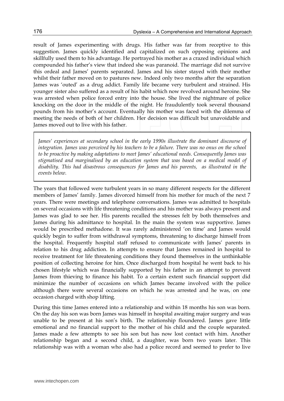result of James experimenting with drugs. His father was far from receptive to this suggestion. James quickly identified and capitalized on such opposing opinions and skillfully used them to his advantage. He portrayed his mother as a crazed individual which compounded his father's view that indeed she was paranoid. The marriage did not survive this ordeal and James' parents separated. James and his sister stayed with their mother whilst their father moved on to pastures new. Indeed only two months after the separation James was 'outed' as a drug addict. Family life became very turbulent and strained. His younger sister also suffered as a result of his habit which now revolved around heroine. She was arrested when police forced entry into the house. She lived the nightmare of police knocking on the door in the middle of the night. He fraudulently took several thousand pounds from his mother's account. Eventually his mother was faced with the dilemma of meeting the needs of both of her children. Her decision was difficult but unavoidable and James moved out to live with his father.

*James' experiences at secondary school in the early 1990s illustrate the dominant discourse of integration. James was perceived by his teachers to be a failure. There was no onus on the school to be proactive by making adaptations to meet James' educational needs. Consequently James was stigmatised and marginalised by an education system that was based on a medical model of disability. This had disastrous consequences for James and his parents, as illustrated in the events below.* 

The years that followed were turbulent years in so many different respects for the different members of James' family. James divorced himself from his mother for much of the next 7 years. There were meetings and telephone conversations. James was admitted to hospitals on several occasions with life threatening conditions and his mother was always present and James was glad to see her. His parents recalled the stresses felt by both themselves and James during his admittance to hospital. In the main the system was supportive. James would be prescribed methadone. It was rarely administered 'on time' and James would quickly begin to suffer from withdrawal symptoms, threatening to discharge himself from the hospital. Frequently hospital staff refused to communicate with James' parents in relation to his drug addiction. In attempts to ensure that James remained in hospital to receive treatment for life threatening conditions they found themselves in the unthinkable position of collecting heroine for him. Once discharged from hospital he went back to his chosen lifestyle which was financially supported by his father in an attempt to prevent James from thieving to finance his habit. To a certain extent such financial support did minimize the number of occasions on which James became involved with the police although there were several occasions on which he was arrested and he was, on one occasion charged with shop lifting.

During this time James entered into a relationship and within 18 months his son was born. On the day his son was born James was himself in hospital awaiting major surgery and was unable to be present at his son's birth. The relationship floundered. James gave little emotional and no financial support to the mother of his child and the couple separated. James made a few attempts to see his son but has now lost contact with him. Another relationship began and a second child, a daughter, was born two years later. This relationship was with a woman who also had a police record and seemed to prefer to live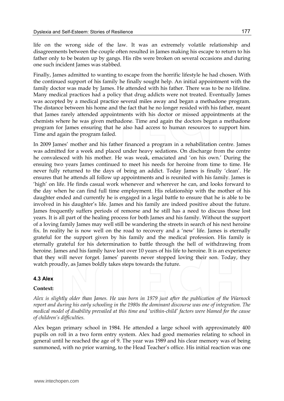life on the wrong side of the law. It was an extremely volatile relationship and disagreements between the couple often resulted in James making his escape to return to his father only to be beaten up by gangs. His ribs were broken on several occasions and during one such incident James was stabbed.

Finally, James admitted to wanting to escape from the horrific lifestyle he had chosen. With the continued support of his family he finally sought help. An initial appointment with the family doctor was made by James. He attended with his father. There was to be no lifeline. Many medical practices had a policy that drug addicts were not treated. Eventually James was accepted by a medical practice several miles away and began a methadone program. The distance between his home and the fact that he no longer resided with his father, meant that James rarely attended appointments with his doctor or missed appointments at the chemists where he was given methadone. Time and again the doctors began a methadone program for James ensuring that he also had access to human resources to support him. Time and again the program failed.

In 2009 James' mother and his father financed a program in a rehabilitation centre. James was admitted for a week and placed under heavy sedations. On discharge from the centre he convalesced with his mother. He was weak, emaciated and 'on his own.' During the ensuing two years James continued to meet his needs for heroine from time to time. He never fully returned to the days of being an addict. Today James is finally 'clean'. He ensures that he attends all follow up appointments and is reunited with his family. James is 'high' on life. He finds casual work whenever and wherever he can, and looks forward to the day when he can find full time employment. His relationship with the mother of his daughter ended and currently he is engaged in a legal battle to ensure that he is able to be involved in his daughter's life. James and his family are indeed positive about the future. James frequently suffers periods of remorse and he still has a need to discuss those lost years. It is all part of the healing process for both James and his family. Without the support of a loving family James may well still be wandering the streets in search of his next heroine fix. In reality he is now well on the road to recovery and a 'new' life. James is eternally grateful for the support given by his family and the medical profession. His family is eternally grateful for his determination to battle through the hell of withdrawing from heroine. James and his family have lost over 10 years of his life to heroine. It is an experience that they will never forget. James' parents never stopped loving their son. Today, they watch proudly, as James boldly takes steps towards the future.

# **4.3 Alex**

# **Context:**

*Alex is slightly older than James. He was born in 1979 just after the publication of the Warnock report and during his early schooling in the 1980s the dominant discourse was one of integration. The medical model of disability prevailed at this time and 'within-child' factors were blamed for the cause of children's difficulties.* 

Alex began primary school in 1984. He attended a large school with approximately 400 pupils on roll in a two form entry system. Alex had good memories relating to school in general until he reached the age of 9. The year was 1989 and his clear memory was of being summoned, with no prior warning, to the Head Teacher's office. His initial reaction was one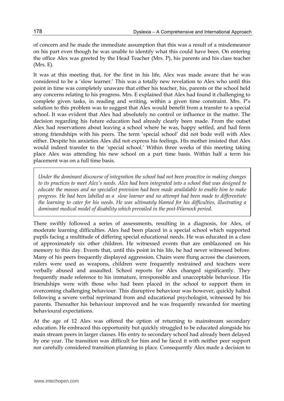of concern and he made the immediate assumption that this was a result of a misdemeanor on his part even though he was unable to identify what this could have been. On entering the office Alex was greeted by the Head Teacher (Mrs. P), his parents and his class teacher (Mrs. E).

It was at this meeting that, for the first in his life, Alex was made aware that he was considered to be a 'slow learner.' This was a totally new revelation to Alex who until this point in time was completely unaware that either his teacher, his, parents or the school held any concerns relating to his progress. Mrs. E explained that Alex had found it challenging to complete given tasks, in reading and writing, within a given time constraint. Mrs. P's solution to this problem was to suggest that Alex would benefit from a transfer to a special school. It was evident that Alex had absolutely no control or influence in the matter. The decision regarding his future education had already clearly been made. From the outset Alex had reservations about leaving a school where he was, happy settled, and had form strong friendships with his peers. The term 'special school' did not bode well with Alex either. Despite his anxieties Alex did not express his feelings. His mother insisted that Alex would indeed transfer to the 'special school.' Within three weeks of this meeting taking place Alex was attending his new school on a part time basis. Within half a term his placement was on a full time basis.

*Under the dominant discourse of integration the school had not been proactive in making changes to its practices to meet Alex's needs. Alex had been integrated into a school that was designed to educate the masses and no specialist provision had been made availalable to enable him to make progress. He had been labelled as a slow learner and no attempt had been made to differentiate the learning to cater for his needs. He was ultimately blamed for his difficulties, illustrating a dominant medical model of disability which prevailed in the post-Warnock period.* 

There swiftly followed a series of assessments, resulting in a diagnosis, for Alex, of moderate learning difficulties. Alex had been placed in a special school which supported pupils facing a multitude of differing special educational needs. He was educated in a class of approximately six other children. He witnessed events that are emblazoned on his memory to this day. Events that, until this point in his life, he had never witnessed before. Many of his peers frequently displayed aggression. Chairs were flung across the classroom, rulers were used as weapons, children were frequently restrained and teachers were verbally abused and assaulted. School reports for Alex changed significantly. They frequently made reference to his immature, irresponsible and unacceptable behaviour. His friendships were with those who had been placed in the school to support them in overcoming challenging behaviour. This disruptive behaviour was however, quickly halted following a severe verbal reprimand from and educational psychologist, witnessed by his parents. Thereafter his behaviour improved and he was frequently rewarded for meeting behavioural expectations.

At the age of 12 Alex was offered the option of returning to mainstream secondary education. He embraced this opportunity but quickly struggled to be educated alongside his main stream peers in larger classes. His entry to secondary school had already been delayed by one year. The transition was difficult for him and he faced it with neither peer support nor carefully considered transition planning in place. Consequently Alex made a decision to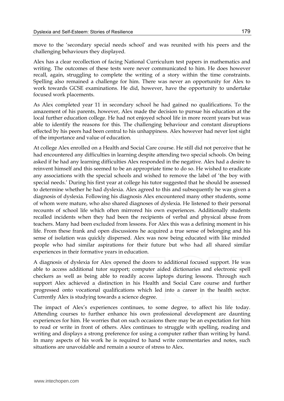move to the 'secondary special needs school' and was reunited with his peers and the challenging behaviours they displayed.

Alex has a clear recollection of facing National Curriculum test papers in mathematics and writing. The outcomes of these tests were never communicated to him. He does however recall, again, struggling to complete the writing of a story within the time constraints. Spelling also remained a challenge for him. There was never an opportunity for Alex to work towards GCSE examinations. He did, however, have the opportunity to undertake focused work placements.

As Alex completed year 11 in secondary school he had gained no qualifications. To the amazement of his parents, however, Alex made the decision to pursue his education at the local further education college. He had not enjoyed school life in more recent years but was able to identify the reasons for this. The challenging behaviour and constant disruptions effected by his peers had been central to his unhappiness. Alex however had never lost sight of the importance and value of education.

At college Alex enrolled on a Health and Social Care course. He still did not perceive that he had encountered any difficulties in learning despite attending two special schools. On being asked if he had any learning difficulties Alex responded in the negative. Alex had a desire to reinvent himself and this seemed to be an appropriate time to do so. He wished to eradicate any associations with the special schools and wished to remove the label of 'the boy with special needs.' During his first year at college his tutor suggested that he should be assessed to determine whether he had dyslexia. Alex agreed to this and subsequently he was given a diagnosis of dyslexia. Following his diagnosis Alex encountered many other students, some of whom were mature, who also shared diagnoses of dyslexia. He listened to their personal recounts of school life which often mirrored his own experiences. Additionally students recalled incidents when they had been the recipients of verbal and physical abuse from teachers. Many had been excluded from lessons. For Alex this was a defining moment in his life. From these frank and open discussions he acquired a true sense of belonging and his sense of isolation was quickly dispersed. Alex was now being educated with like minded people who had similar aspirations for their future but who had all shared similar experiences in their formative years in education.

A diagnosis of dyslexia for Alex opened the doors to additional focused support. He was able to access additional tutor support; computer aided dictionaries and electronic spell checkers as well as being able to readily access laptops during lessons. Through such support Alex achieved a distinction in his Health and Social Care course and further progressed onto vocational qualifications which led into a career in the health sector. Currently Alex is studying towards a science degree.

The impact of Alex's experiences continues, to some degree, to affect his life today. Attending courses to further enhance his own professional development are daunting experiences for him. He worries that on such occasions there may be an expectation for him to read or write in front of others. Alex continues to struggle with spelling, reading and writing and displays a strong preference for using a computer rather than writing by hand. In many aspects of his work he is required to hand write commentaries and notes, such situations are unavoidable and remain a source of stress to Alex.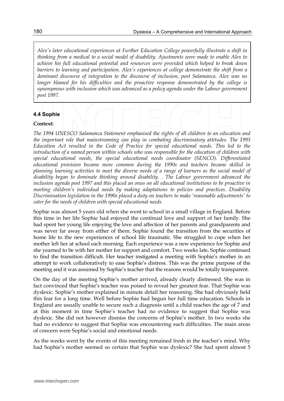*Alex's later educational experiences at Further Education College powerfully illustrate a shift in thinking from a medical to a social model of disability. Ajustments were made to enable Alex to achieve his full educational potential and resources were provided which helped to break down barriers to learning and participation. Alex's experiences at college demonstrate the shift from a dominant discourse of integration to the discourse of inclusion, post Salamanca. Alex was no*  longer blamed for his difficulties and the proactive response demonstrated by the college is *synonymous with inclusion which was advanced as a policy agenda under the Labour government post 1997.* 

# **4.4 Sophie**

# **Context:**

*The 1994 UNESCO Salamanca Statement emphasised the rights of all children to an education and the important role that mainstreaming can play in combating discriminatory attitudes. The 1993 Education Act resulted in the Code of Practice for special educational needs. This led to the introduction of a named person within schools who was responsible for the education of children with special educational needs, the special educational needs coordinator (SENCO). Differentiated educational provision became more common during the 1990s and teachers became skilled in planning learning activities to meet the diverse needs of a range of learners as the social model of disability began to dominate thinking around disability. . The Labour government advanced the inclusion agenda post 1997 and this placed an onus on all educational institutions to be proactive in meeting children's individual needs by making adaptations to policies and practices. Disability Discrimination legislation in the 1990s placed a duty on teachers to make 'reasonable adjustments' to cater for the needs of children with special educational needs.* 

Sophie was almost 5 years old when she went to school in a small village in England. Before this time in her life Sophie had enjoyed the continual love and support of her family. She had spent her young life enjoying the love and affection of her parents and grandparents and was never far away from either of them. Sophie found the transition from the securities of home life to the new experiences of school life traumatic. She struggled to cope when her mother left her at school each morning. Each experience was a new experience for Sophie and she yearned to be with her mother for support and comfort. Two weeks late, Sophie continued to find the transition difficult. Her teacher instigated a meeting with Sophie's mother in an attempt to work collaboratively to ease Sophie's distress. This was the prime purpose of the meeting and it was assumed by Sophie's teacher that the reasons would be totally transparent.

On the day of the meeting Sophie's mother arrived, already clearly distressed. She was in fact convinced that Sophie's teacher was poised to reveal her greatest fear. That Sophie was dyslexic. Sophie's mother explained in minute detail her reasoning. She had obviously held this fear for a long time. Well before Sophie had begun her full time education. Schools in England are usually unable to secure such a diagnosis until a child reaches the age of 7 and at this moment in time Sophie's teacher had no evidence to suggest that Sophie was dyslexic. She did not however dismiss the concerns of Sophie's mother. In two weeks she had no evidence to suggest that Sophie was encountering such difficulties. The main areas of concern were Sophie's social and emotional needs.

As the weeks went by the events of this meeting remained fresh in the teacher's mind. Why had Sophie's mother seemed so certain that Sophie was dyslexic? She had spent almost 5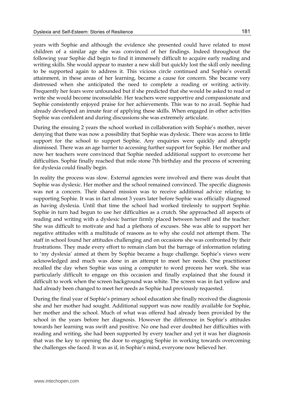years with Sophie and although the evidence she presented could have related to most children of a similar age she was convinced of her findings. Indeed throughout the following year Sophie did begin to find it immensely difficult to acquire early reading and writing skills. She would appear to master a new skill but quickly lost the skill only needing to be supported again to address it. This vicious circle continued and Sophie's overall attainment, in these areas of her learning, became a cause for concern. She became very distressed when she anticipated the need to complete a reading or writing activity. Frequently her fears were unfounded but if she predicted that she would be asked to read or write she would become inconsolable. Her teachers were supportive and compassionate and Sophie consistently enjoyed praise for her achievements. This was to no avail. Sophie had already developed an innate fear of applying these skills. When engaged in other activities Sophie was confident and during discussions she was extremely articulate.

During the ensuing 2 years the school worked in collaboration with Sophie's mother, never denying that there was now a possibility that Sophie was dyslexic. There was access to little support for the school to support Sophie. Any enquiries were quickly and abruptly dismissed. There was an age barrier to accessing further support for Sophie. Her mother and now her teachers were convinced that Sophie needed additional support to overcome her difficulties. Sophie finally reached that mile stone 7th birthday and the process of screening for dyslexia could finally begin.

In reality the process was slow. External agencies were involved and there was doubt that Sophie was dyslexic. Her mother and the school remained convinced. The specific diagnosis was not a concern. Their shared mission was to receive additional advice relating to supporting Sophie. It was in fact almost 3 years later before Sophie was officially diagnosed as having dyslexia. Until that time the school had worked tirelessly to support Sophie. Sophie in turn had begun to use her difficulties as a crutch. She approached all aspects of reading and writing with a dyslexic barrier firmly placed between herself and the teacher. She was difficult to motivate and had a plethora of excuses. She was able to support her negative attitudes with a multitude of reasons as to why she could not attempt them. The staff in school found her attitudes challenging and on occasions she was confronted by their frustrations. They made every effort to remain clam but the barrage of information relating to 'my dyslexia' aimed at them by Sophie became a huge challenge. Sophie's views were acknowledged and much was done in an attempt to meet her needs. One practitioner recalled the day when Sophie was using a computer to word process her work. She was particularly difficult to engage on this occasion and finally explained that she found it difficult to work when the screen background was white. The screen was in fact yellow and had already been changed to meet her needs as Sophie had previously requested.

During the final year of Sophie's primary school education she finally received the diagnosis she and her mother had sought. Additional support was now readily available for Sophie, her mother and the school. Much of what was offered had already been provided by the school in the years before her diagnosis. However the difference in Sophie's attitudes towards her learning was swift and positive. No one had ever doubted her difficulties with reading and writing, she had been supported by every teacher and yet it was her diagnosis that was the key to opening the door to engaging Sophie in working towards overcoming the challenges she faced. It was as if, in Sophie's mind, everyone now believed her.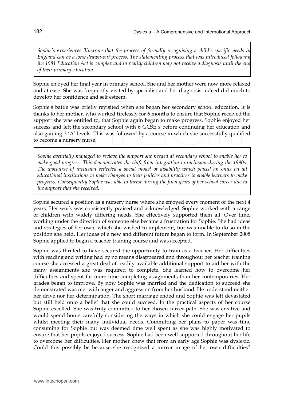*Sophie's experiences illustrate that the process of formally recognising a child's specific needs in England can be a long drawn-out process. The statementing process that was introduced following the 1981 Education Act is complex and in reality children may not receive a diagnosis until the end of their primary education.* 

Sophie enjoyed her final year in primary school. She and her mother were now more relaxed and at ease. She was frequently visited by specialist and her diagnosis indeed did much to develop her confidence and self esteem.

Sophie's battle was briefly revisited when she began her secondary school education. It is thanks to her mother, who worked tirelessly for 6 months to ensure that Sophie received the support she was entitled to, that Sophie again began to make progress. Sophie enjoyed her success and left the secondary school with 6 GCSE s before continuing her education and also gaining 3 'A' levels. This was followed by a course in which she successfully qualified to become a nursery nurse.

*Sophie eventially managed to recieve the support she needed at secondary school to enable her to make good progress. This demonstrates the shift from integration to inclusion during the 1990s. The discourse of inclusion reflected a social model of disability which placed an onus on all educational institutions to make changes to their policies and practices to enable learners to make progress. Consequently Sophie was able to thrive during the final years of her school career due to the support that she received.* 

Sophie secured a position as a nursery nurse where she enjoyed every moment of the next 4 years. Her work was consistently praised and acknowledged. Sophie worked with a range of children with widely differing needs. She effectively supported them all. Over time, working under the direction of someone else became a frustration for Sophie. She had ideas and strategies of her own, which she wished to implement, but was unable to do so in the position she held. Her ideas of a new and different future began to form. In September 2008 Sophie applied to begin a teacher training course and was accepted.

Sophie was thrilled to have secured the opportunity to train as a teacher. Her difficulties with reading and writing had by no means disappeared and throughout her teacher training course she accessed a great deal of readily available additional support to aid her with the many assignments she was required to complete. She learned how to overcome her difficulties and spent far more time completing assignments than her contemporaries. Her grades began to improve. By now Sophie was married and the dedication to succeed she demonstrated was met with anger and aggression from her husband. He understood neither her drive nor her determination. The short marriage ended and Sophie was left devastated but still held onto a belief that she could succeed. In the practical aspects of her course Sophie excelled. She was truly committed to her chosen career path. She was creative and would spend hours carefully considering the ways in which she could engage her pupils whilst meeting their many individual needs. Committing her plans to paper was time consuming for Sophie but was deemed time well spent as she was highly motivated to ensure that her pupils enjoyed success. Sophie had been well supported throughout her life to overcome her difficulties. Her mother knew that from an early age Sophie was dyslexic. Could this possibly be because she recognized a mirror image of her own difficulties?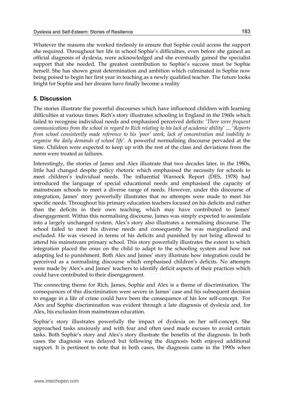Whatever the reasons she worked tirelessly to ensure that Sophie could access the support she required. Throughout her life in school Sophie's difficulties, even before she gained an official diagnosis of dyslexia, were acknowledged and she eventually gained the specialist support that she needed. The greatest contribution to Sophie's success must be Sophie herself. She has shown great determination and ambition which culminated in Sophie now being poised to begin her first year in teaching as a newly qualified teacher. The future looks bright for Sophie and her dreams have finally become a reality

# **5. Discussion**

The stories illustrate the powerful discourses which have influenced children with learning difficulties at various times. Rich's story illustrates schooling in England in the 1960s which failed to recognise individual needs and emphasised perceived deficits: '*There were frequent communications from the school in regard to Rich relating to his lack of academic ability' ....* '*Reports from school consistently made reference to his 'poor' work, lack of concentration and inability to organise the daily demands of school life'.* A powerful normalising discourse pervaded at the time. Children were expected to keep up with the rest of the class and deviations from the norm were treated as failures.

Interestingly, the stories of James and Alex illustrate that two decades later, in the 1980s, little had changed despite policy rhetoric which emphasised the necessity for schools to meet children's individual needs. The influential Warnock Report (DES, 1978) had introduced the language of special educational needs and emphasised the capacity of mainstream schools to meet a diverse range of needs. However, under this discourse of integration, James' story powerfully illustrates that no attempts were made to meet his specific needs. Throughout his primary education teachers focused on his deficits and rather than the deficits in their own teaching, which may have contributed to James' disengagement. Within this normalising discourse, James was simply expected to assimilate into a largely unchanged system. Alex's story also illustrates a normalising discourse. The school failed to meet his diverse needs and consequently he was marginalized and excluded. He was viewed in terms of his deficits and punished by not being allowed to attend his mainstream primary school. This story powerfully illustrates the extent to which integration placed the onus on the child to adapt to the schooling system and how not adapting led to punishment. Both Alex and James' story illustrate how integration could be perceived as a normalising discourse which emphasised children's deficits. No attempts were made by Alex's and James' teachers to identify deficit aspects of their practices which could have contributed to their disengagement.

The connecting theme for Rich, James, Sophie and Alex is a theme of discrimination. The consequences of this discrimination were severe in James' case and his subsequent decision to engage in a life of crime could have been the consequence of his low self-concept. For Alex and Sophie discrimination was evident through a late diagnosis of dyslexia and, for Alex, his exclusion from mainstream education.

Sophie's story illustrates powerfully the impact of dyslexia on her self-concept. She approached tasks anxiously and with fear and often used made excuses to avoid certain tasks. Both Sophie's story and Alex's story illustrate the benefits of the diagnosis. In both cases the diagnosis was delayed but following the diagnosis both enjoyed additional support. It is pertinent to note that in both cases, the diagnosis came in the 1990s when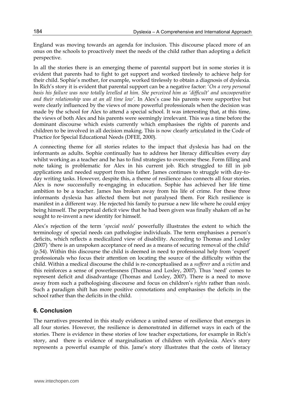England was moving towards an agenda for inclusion. This discourse placed more of an onus on the schools to proactively meet the needs of the child rather than adopting a deficit perspective.

In all the stories there is an emerging theme of parental support but in some stories it is evident that parents had to fight to get support and worked tirelessly to achieve help for their child. Sophie's mother, for example, worked tirelessly to obtain a diagnosis of dyslexia. In Rich's story it is evident that parental support can be a negative factor: '*On a very personal*  basis his failure was now totally levelled at him. She perceived him as 'difficult' and uncooperative *and their relationship was at an all time low'.* In Alex's case his parents were supportive but were clearly influenced by the views of more powerful professionals when the decision was made by the school for Alex to attend a special school. It was interesting that, at this time, the views of both Alex and his parents were seemingly irrelevant. This was a time before the dominant discourse which exists currently which emphasises the rights of parents and children to be involved in all decision making. This is now clearly articulated in the Code of Practice for Special Educational Needs (DFEE, 2000).

A connecting theme for all stories relates to the impact that dyslexia has had on the informants as adults. Sophie continually has to address her literacy difficulties every day whilst working as a teacher and he has to find strategies to overcome these. Form filling and note taking is problematic for Alex in his current job. Rich struggled to fill in job applications and needed support from his father. James continues to struggle with day-today writing tasks. However, despite this, a theme of resilience also connects all four stories. Alex is now successfully re-engaging in education. Sophie has achieved her life time ambition to be a teacher. James has broken away from his life of crime. For these three informants dyslexia has affected them but not paralysed them. For Rich resilience is manifest in a different way. He rejected his family to pursue a new life where he could enjoy being himself. The perpetual deficit view that he had been given was finally shaken off as he sought to re-invent a new identity for himself.

Alex's rejection of the term '*special needs*' powerfully illustrates the extent to which the terminology of special needs can pathologise individuals. The term emphasises a person's deficits, which reflects a medicalized view of disability. According to Thomas and Loxley (2007) 'there is an unspoken acceptance of need as a means of securing removal of the child' (p.54). Within this discourse the child is deemed in need to professional help from 'expert' professionals who focus their attention on locating the source of the difficulty within the child. Within a medical discourse the child is re-conceptualised as a *sufferer* and a *victim* and this reinforces a sense of powerlessness (Thomas and Loxley, 2007). Thus 'need' comes to represent deficit and disadvantage (Thomas and Loxley, 2007). There is a need to move away from such a pathologising discourse and focus on children's *rights* rather than *needs*. Such a paradigm shift has more positive connotations and emphasises the deficits in the school rather than the deficits in the child.

# **6. Conclusion**

The narratives presented in this study evidence a united sense of resilience that emerges in all four stories. However, the resilience is demonstrated in differnet ways in each of the stories. There is evidence in these stories of low teacher expectations, for example in Rich's story, and there is evidence of marginalisation of children with dyslexia. Alex's story represents a powerful example of this. Jame's story illustrates that the costs of literacy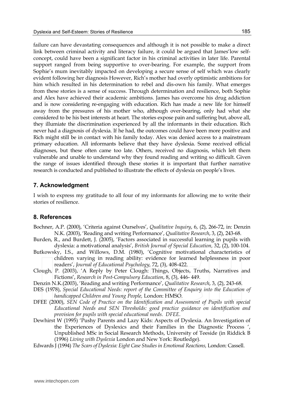failure can have devastating consequences and although it is not possible to make a direct link between criminal activity and literacy failure, it could be argued that James'low selfconcept, could have been a significant factor in his criminal activities in later life. Parental support ranged from being supportive to over-bearing. For example, the support from Sophie's mum inevitably impacted on developing a secure sense of self which was clearly evident following her diagnosis However, Rich's mother had overly optimistic ambitions for him which resulted in his determination to rebel and dis-own his family. What emerges from these stories is a sense of success. Through determination and resilience, both Sophie and Alex have achieved their academic ambitions. James has overcome his drug addiction and is now considering re-engaging with education. Rich has made a new life for himself away from the pressures of his mother who, although over-bearing, only had what she considered to be his best interests at heart. The stories expose pain and suffering but, above all, they illumiate the discrimination experienced by all the informants in their education. Rich never had a diagnosis of dyslexia. If he had, the outcomes could have been more positive and Rich might still be in contact with his family today. Alex was denied access to a mainstream primary education. All informants believe that they have dyslexia. Some received official diagnoses, but these often came too late. Others, received no diagnosis, which left them vulnerable and unable to understand why they found reading and writing so difficult. Given the range of issues identified through these stories it is important that further narrative research is conducted and published to illustrate the effects of dyslexia on people's lives.

# **7. Acknowledgment**

I wish to express my gratitude to all four of my informants for allowing me to write their stories of resilience.

# **8. References**

- Bochner, A.P. (2000), 'Criteria against Ourselves', *Qualitative Inquiry*, 6, (2), 266-72, in: Denzin N.K. (2003), 'Reading and writing Performance', *Qualitative Research*, 3, (2), 243-68.
- Burden, R., and Burdett, J. (2005), 'Factors associated in successful learning in pupils with dyslexia: a motivational analysis', *British Journal of Special Education,* 32, (2), 100-104.
- Butkowsky, I.S., and Willows, D.M. (1980), 'Cognitive motivational characteristics of children varying in reading ability: evidence for learned helplessness in poor readers', *Journal of Educational Psychology,* 72, (3), 408-422.
- Clough, P. (2003), 'A Reply by Peter Clough: Things, Objects, Truths, Narratives and Fictions', *Research in Post-Compulsory Education*, 8, (3), 446- 449.
- Denzin N.K.(2003), 'Reading and writing Performance', *Qualitative Research*, 3, (2), 243-68.
- DES (1978), *Special Educational Needs: report of the Committee of Enquiry into the Education of handicapped Children and Young People,* London: HMSO.
- DFEE (2000), *SEN Code of Practice on the Identification and Assessment of Pupils with special Educational Needs and SEN Thresholds: good practice guidance on identification and provision for pupils with special educational needs. DFEE.*
- Dewhirst W (1995) 'Pushy Parents and Lazy Kids: Aspects of Dyslexia. An Investigation of the Experiences of Dyslexics and their Families in the Diagnostic Process ', Unpublished MSc in Social Research Methods, University of Teeside (in Riddick B (1996) *Living with Dyslexia* London and New York: Routledge).
- Edwards J (1994) *The Scars of Dyslexia: Eight Case Studies in Emotional Reactions, London: Cassell.*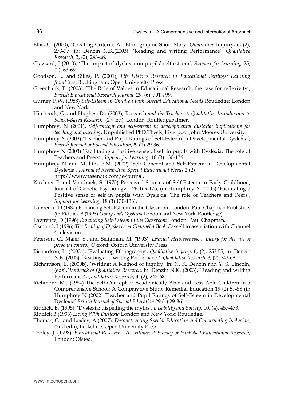- Ellis, C. (2000), 'Creating Criteria: An Ethnographic Short Story, *Qualitative* Inquiry, 6, (2), 273-77, in: Denzin N.K.(2003), 'Reading and writing Performance', *Qualitative Research*, 3, (2), 243-68.
- Glazzard, J (2010), 'The impact of dyslexia on pupils' self-esteem', *Support for Learning,* 25, (2), 63-69.
- Goodson, I., and Sikes, P. (2001), *Life History Research in Educational Settings: Learning fromLives*, Buckingham: Open University Press.
- Greenbank, P. (2003), 'The Role of Values in Educational Research; the case for reflexivity', *British Educational Research Journal,* 29, (6), 791-799.
- Gurney P.W. (1988) *Self-Esteem in Children with Special Educational Needs* Routledge: London and New York.
- Hitchcock, G. and Hughes, D., (2003), Research *and the Teacher: A Qualitative Introduction to School-Based Research,* (2nd Ed), London: RoutledgeFalmer.
- Humphrey, N (2001), *Self-concept and self-esteem in developmental dyslexia: implications for teaching and learning,* Unpublished PhD Thesis, Liverpool John Moores University.
- Humphrey N (2002) 'Teacher and Pupil Ratings of Self-Esteem in Developmental Dyslexia', *British Journal of Special Education,*29 (1) 29-36.
- Humphrey N (2003) 'Facilitating a Positive sense of self in pupils with Dyslexia: The role of Teachers and Peers' ,*Support for Learning,* 18 (3) 130-136.
- Humphrey N and Mullins P.M. (2002) 'Self Concept and Self-Esteem in Developmental Dyslexia', *Journal of Research in Special Educational Needs* 2 (2) http://www.nasen.uk.com/e-journal.
- Kirchner P and Vondraek, S (1975) Perceived Sources of Self-Esteem in Early Childhood, Journal of Genetic Psychology, 126 169-176, (in Humphrey N (2003) 'Facilitating a Positive sense of self in pupils with Dyslexia: The role of Teachers and Peers', *Support for Learning,* 18 (3) 130-136).
- Lawrence, D (1987) Enhancing Self-Esteem in the Classroom London: Paul Chapman Publishers (in Riddick B (1996) *Living with Dyslexia* London and New York: Routledge).
- Lawrence, D (1996) *Enhancing Self-Esteem in the Classroom* London: Paul Chapman.
- Osmond, J (1996) *The Reality of Dyslexia: A Channel 4 Book* Cassell in association with Channel 4 television.
- Peterson, C., Maier, S., and Seligman, M. (1993), *Learned Helplessness: a theory for the age of personal control,* Oxford: Oxford University Press.
- Richardson, L. (2000a), 'Evaluating Ethnography', *Qualitative Inquiry*, 6, (2), 253-55, in: Denzin N.K. (2003), 'Reading and writing Performance', *Qualitative Research*, 3, (2), 243-68.
- Richardson, L. (2000b), 'Writing: A Method of Inquiry' in: N. K. Denzin and Y. S. Lincoln, (eds),*Handbook of Qualitative Research,* in: Denzin N.K. (2003), 'Reading and writing Performance', *Qualitative Research*, 3, (2), 243-68.
- Richmond M.J (1984) The Self-Concept of Academically Able and Less Able Children in a Comprehensive School: A Comparative Study Remedial Education 19 (2) 57-58 (in Humphrey N (2002) 'Teacher and Pupil Ratings of Self-Esteem in Developmental Dyslexia' *British Journal of Special Education* 29 (1) 29-36).
- Riddick, B. (1995), 'Dyslexia: dispelling the myths', *Disability and Society,* 10, (4), 457-473.
- Riddick B (1996) *Living With Dyslexia* London and New York: Routledge.
- Thomas, G., and Loxley, A (2007), *Deconstructing Special Education and Constructing Inclusion,*  (2nd edn), Berkshire: Open University Press.
- Tooley, J. (1998), *Educational Research A Critique: A Survey of Published Educational Research*, London: Ofsted.